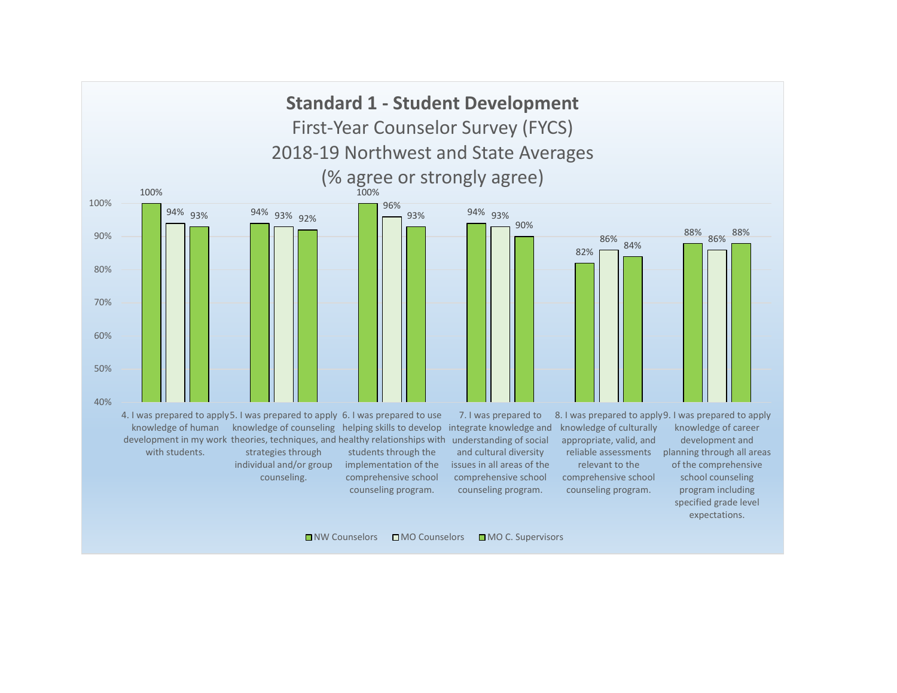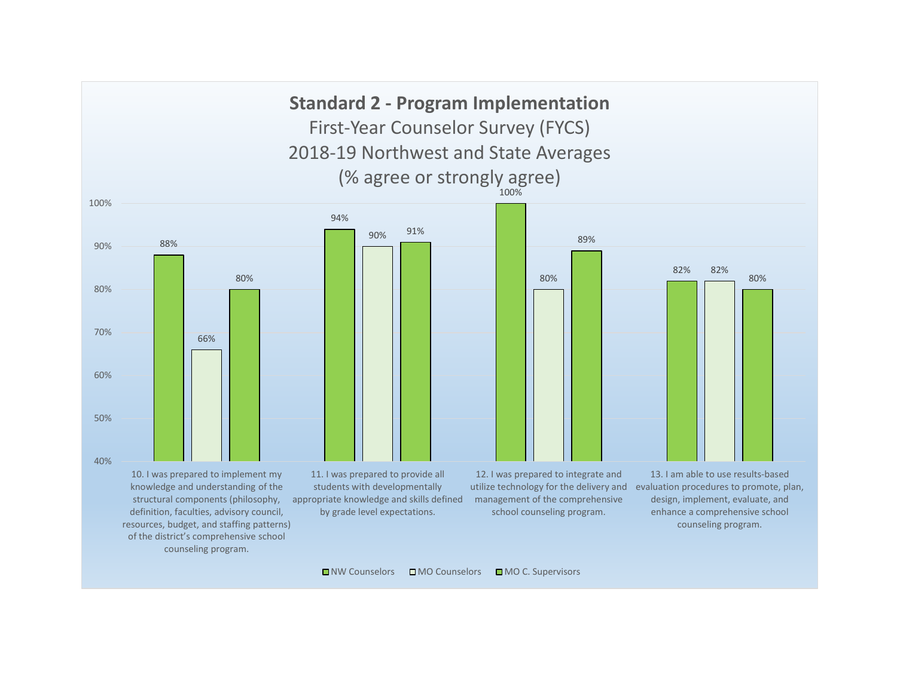88% 94% 100% 82% 66% 90% 80% 82% 80% 91% 89% 80% 40% 50% 60% 70% 80% 90% 100% 10. I was prepared to implement my knowledge and understanding of the structural components (philosophy, definition, faculties, advisory council, resources, budget, and staffing patterns) of the district's comprehensive school counseling program. 11. I was prepared to provide all students with developmentally appropriate knowledge and skills defined by grade level expectations. 12. I was prepared to integrate and utilize technology for the delivery and evaluation procedures to promote, plan, management of the comprehensive school counseling program. 13. I am able to use results-based design, implement, evaluate, and enhance a comprehensive school counseling program. **Standard 2 - Program Implementation** First-Year Counselor Survey (FYCS) 2018-19 Northwest and State Averages (% agree or strongly agree)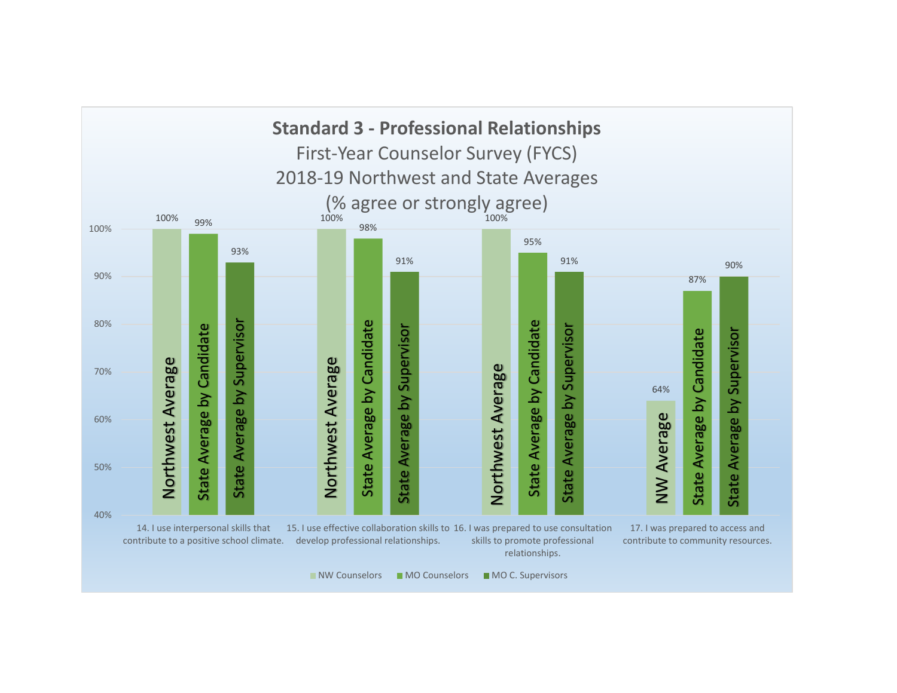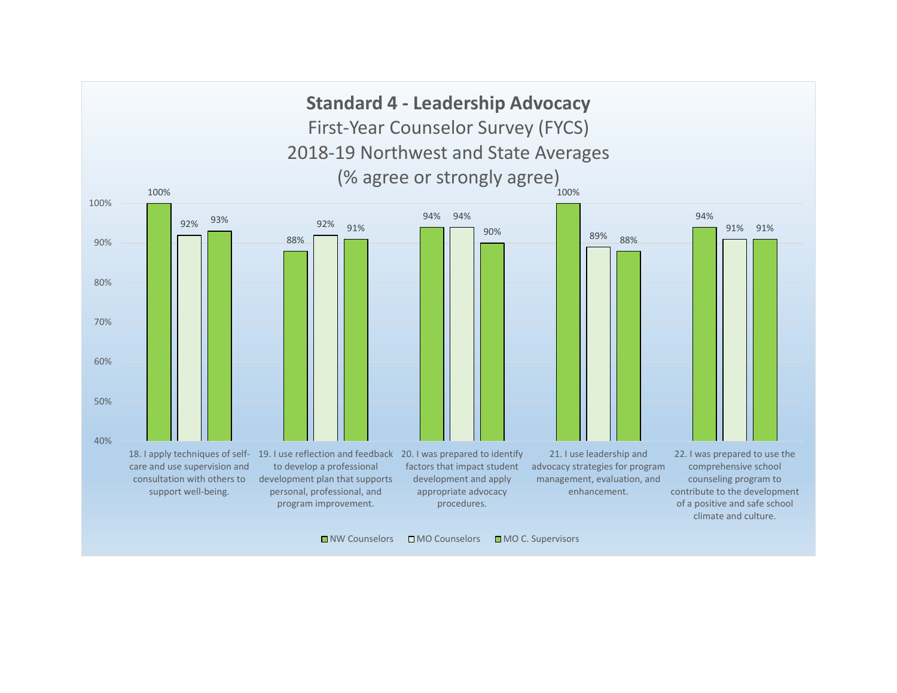